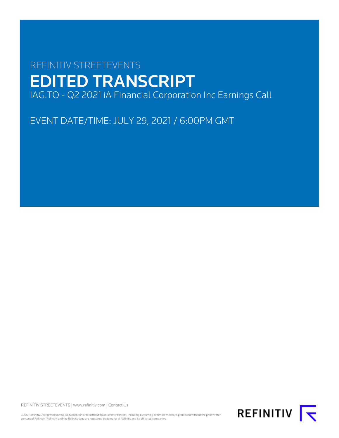# REFINITIV STREETEVENTS EDITED TRANSCRIPT IAG.TO - Q2 2021 iA Financial Corporation Inc Earnings Call

EVENT DATE/TIME: JULY 29, 2021 / 6:00PM GMT

REFINITIV STREETEVENTS | [www.refinitiv.com](https://www.refinitiv.com/) | [Contact Us](https://www.refinitiv.com/en/contact-us)

©2021 Refinitiv. All rights reserved. Republication or redistribution of Refinitiv content, including by framing or similar means, is prohibited without the prior written consent of Refinitiv. 'Refinitiv' and the Refinitiv logo are registered trademarks of Refinitiv and its affiliated companies.

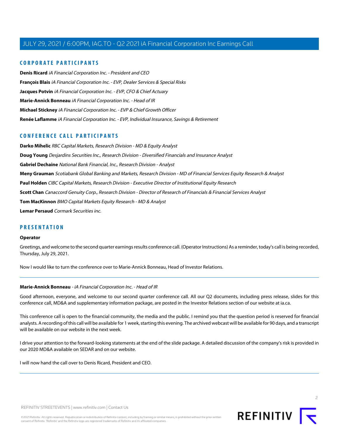# **CORPORATE PARTICIPANTS**

**[Denis Ricard](#page-2-0)** iA Financial Corporation Inc. - President and CEO **[François Blais](#page-7-0)** iA Financial Corporation Inc. - EVP, Dealer Services & Special Risks **[Jacques Potvin](#page-3-0)** iA Financial Corporation Inc. - EVP, CFO & Chief Actuary **[Marie-Annick Bonneau](#page-1-0)** iA Financial Corporation Inc. - Head of IR **[Michael Stickney](#page-2-1)** iA Financial Corporation Inc. - EVP & Chief Growth Officer **[Renée Laflamme](#page-5-0)** iA Financial Corporation Inc. - EVP, Individual Insurance, Savings & Retirement

# **CONFERENCE CALL PARTICIPANTS**

**[Darko Mihelic](#page-11-0)** RBC Capital Markets, Research Division - MD & Equity Analyst **[Doug Young](#page-8-0)** Desjardins Securities Inc., Research Division - Diversified Financials and Insurance Analyst **[Gabriel Dechaine](#page-6-0)** National Bank Financial, Inc., Research Division - Analyst **[Meny Grauman](#page-5-1)** Scotiabank Global Banking and Markets, Research Division - MD of Financial Services Equity Research & Analyst **[Paul Holden](#page-10-0)** CIBC Capital Markets, Research Division - Executive Director of Institutional Equity Research **[Scott Chan](#page-13-0)** Canaccord Genuity Corp., Research Division - Director of Research of Financials & Financial Services Analyst **[Tom MacKinnon](#page-7-1)** BMO Capital Markets Equity Research - MD & Analyst **[Lemar Persaud](#page-12-0)** Cormark Securities inc.

#### **PRESENTATION**

#### **Operator**

Greetings, and welcome to the second quarter earnings results conference call. (Operator Instructions) As a reminder, today's call is being recorded, Thursday, July 29, 2021.

<span id="page-1-0"></span>Now I would like to turn the conference over to Marie-Annick Bonneau, Head of Investor Relations.

#### **Marie-Annick Bonneau** - iA Financial Corporation Inc. - Head of IR

Good afternoon, everyone, and welcome to our second quarter conference call. All our Q2 documents, including press release, slides for this conference call, MD&A and supplementary information package, are posted in the Investor Relations section of our website at ia.ca.

This conference call is open to the financial community, the media and the public. I remind you that the question period is reserved for financial analysts. A recording of this call will be available for 1 week, starting this evening. The archived webcast will be available for 90 days, and a transcript will be available on our website in the next week.

I drive your attention to the forward-looking statements at the end of the slide package. A detailed discussion of the company's risk is provided in our 2020 MD&A available on SEDAR and on our website.

I will now hand the call over to Denis Ricard, President and CEO.

 $\supset$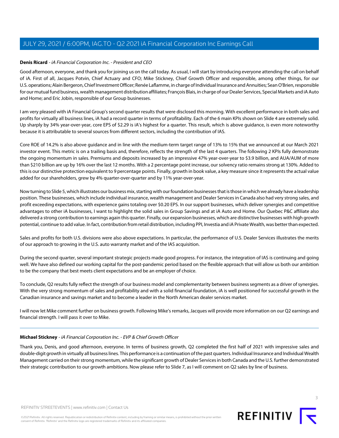### <span id="page-2-0"></span>**Denis Ricard** - iA Financial Corporation Inc. - President and CEO

Good afternoon, everyone, and thank you for joining us on the call today. As usual, I will start by introducing everyone attending the call on behalf of iA. First of all, Jacques Potvin, Chief Actuary and CFO; Mike Stickney, Chief Growth Officer and responsible, among other things, for our U.S. operations; Alain Bergeron, Chief Investment Officer; Renée Laflamme, in charge of Individual Insurance and Annuities; Sean O'Brien, responsible for our mutual fund business, wealth management distribution affiliates; François Blais, in charge of our Dealer Services, Special Markets and iA Auto and Home; and Eric Jobin, responsible of our Group businesses.

I am very pleased with iA Financial Group's second quarter results that were disclosed this morning. With excellent performance in both sales and profits for virtually all business lines, iA had a record quarter in terms of profitability. Each of the 6 main KPIs shown on Slide 4 are extremely solid. Up sharply by 34% year-over-year, core EPS of \$2.29 is iA's highest for a quarter. This result, which is above guidance, is even more noteworthy because it is attributable to several sources from different sectors, including the contribution of IAS.

Core ROE of 14.2% is also above guidance and in line with the medium-term target range of 13% to 15% that we announced at our March 2021 investor event. This metric is on a trailing basis and, therefore, reflects the strength of the last 4 quarters. The following 2 KPIs fully demonstrate the ongoing momentum in sales. Premiums and deposits increased by an impressive 47% year-over-year to \$3.9 billion, and AUA/AUM of more than \$210 billion are up by 16% over the last 12 months. With a 2 percentage point increase, our solvency ratio remains strong at 130%. Added to this is our distinctive protection equivalent to 9 percentage points. Finally, growth in book value, a key measure since it represents the actual value added for our shareholders, grew by 4% quarter-over-quarter and by 11% year-over-year.

Now turning to Slide 5, which illustrates our business mix, starting with our foundation businesses that is those in which we already have a leadership position. These businesses, which include individual insurance, wealth management and Dealer Services in Canada also had very strong sales, and profit exceeding expectations, with experience gains totaling over \$0.20 EPS. In our support businesses, which deliver synergies and competitive advantages to other iA businesses, I want to highlight the solid sales in Group Savings and at iA Auto and Home. Our Quebec P&C affiliate also delivered a strong contribution to earnings again this quarter. Finally, our expansion businesses, which are distinctive businesses with high growth potential, continue to add value. In fact, contribution from retail distribution, including PPI, Investia and iA Private Wealth, was better than expected.

Sales and profits for both U.S. divisions were also above expectations. In particular, the performance of U.S. Dealer Services illustrates the merits of our approach to growing in the U.S. auto warranty market and of the IAS acquisition.

During the second quarter, several important strategic projects made good progress. For instance, the integration of IAS is continuing and going well. We have also defined our working capital for the post-pandemic period based on the flexible approach that will allow us both our ambition to be the company that best meets client expectations and be an employer of choice.

To conclude, Q2 results fully reflect the strength of our business model and complementarity between business segments as a driver of synergies. With the very strong momentum of sales and profitability and with a solid financial foundation, iA is well positioned for successful growth in the Canadian insurance and savings market and to become a leader in the North American dealer services market.

<span id="page-2-1"></span>I will now let Mike comment further on business growth. Following Mike's remarks, Jacques will provide more information on our Q2 earnings and financial strength. I will pass it over to Mike.

#### **Michael Stickney** - iA Financial Corporation Inc. - EVP & Chief Growth Officer

Thank you, Denis, and good afternoon, everyone. In terms of business growth, Q2 completed the first half of 2021 with impressive sales and double-digit growth in virtually all business lines. This performance is a continuation of the past quarters. Individual Insurance and Individual Wealth Management carried on their strong momentum, while the significant growth of Dealer Services in both Canada and the U.S. further demonstrated their strategic contribution to our growth ambitions. Now please refer to Slide 7, as I will comment on Q2 sales by line of business.



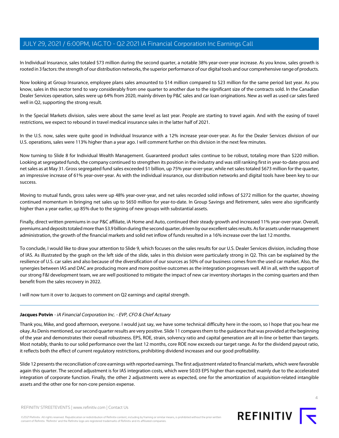In Individual Insurance, sales totaled \$73 million during the second quarter, a notable 38% year-over-year increase. As you know, sales growth is rooted in 3 factors: the strength of our distribution networks, the superior performance of our digital tools and our comprehensive range of products.

Now looking at Group Insurance, employee plans sales amounted to \$14 million compared to \$23 million for the same period last year. As you know, sales in this sector tend to vary considerably from one quarter to another due to the significant size of the contracts sold. In the Canadian Dealer Services operation, sales were up 64% from 2020, mainly driven by P&C sales and car loan originations. New as well as used car sales fared well in Q2, supporting the strong result.

In the Special Markets division, sales were about the same level as last year. People are starting to travel again. And with the easing of travel restrictions, we expect to rebound in travel medical insurance sales in the latter half of 2021.

In the U.S. now, sales were quite good in Individual Insurance with a 12% increase year-over-year. As for the Dealer Services division of our U.S. operations, sales were 113% higher than a year ago. I will comment further on this division in the next few minutes.

Now turning to Slide 8 for Individual Wealth Management. Guaranteed product sales continue to be robust, totaling more than \$220 million. Looking at segregated funds, the company continued to strengthen its position in the industry and was still ranking first in year-to-date gross and net sales as at May 31. Gross segregated fund sales exceeded \$1 billion, up 75% year-over-year, while net sales totaled \$673 million for the quarter, an impressive increase of 61% year-over-year. As with the individual insurance, our distribution networks and digital tools have been key to our success.

Moving to mutual funds, gross sales were up 48% year-over-year, and net sales recorded solid inflows of \$272 million for the quarter, showing continued momentum in bringing net sales up to \$650 million for year-to-date. In Group Savings and Retirement, sales were also significantly higher than a year earlier, up 85% due to the signing of new groups with substantial assets.

Finally, direct written premiums in our P&C affiliate, iA Home and Auto, continued their steady growth and increased 11% year-over-year. Overall, premiums and deposits totaled more than \$3.9 billion during the second quarter, driven by our excellent sales results. As for assets under management administration, the growth of the financial markets and solid net inflow of funds resulted in a 16% increase over the last 12 months.

To conclude, I would like to draw your attention to Slide 9, which focuses on the sales results for our U.S. Dealer Services division, including those of IAS. As illustrated by the graph on the left side of the slide, sales in this division were particularly strong in Q2. This can be explained by the resilience of U.S. car sales and also because of the diversification of our sources as 50% of our business comes from the used car market. Also, the synergies between IAS and DAC are producing more and more positive outcomes as the integration progresses well. All in all, with the support of our strong F&I development team, we are well positioned to mitigate the impact of new car inventory shortages in the coming quarters and then benefit from the sales recovery in 2022.

<span id="page-3-0"></span>I will now turn it over to Jacques to comment on Q2 earnings and capital strength.

#### **Jacques Potvin** - iA Financial Corporation Inc. - EVP, CFO & Chief Actuary

Thank you, Mike, and good afternoon, everyone. I would just say, we have some technical difficulty here in the room, so I hope that you hear me okay. As Denis mentioned, our second quarter results are very positive. Slide 11 compares them to the guidance that was provided at the beginning of the year and demonstrates their overall robustness. EPS, ROE, strain, solvency ratio and capital generation are all in-line or better than targets. Most notably, thanks to our solid performance over the last 12 months, core ROE now exceeds our target range. As for the dividend payout ratio, it reflects both the effect of current regulatory restrictions, prohibiting dividend increases and our good profitability.

Slide 12 presents the reconciliation of core earnings with reported earnings. The first adjustment related to financial markets, which were favorable again this quarter. The second adjustment is for IAS integration costs, which were \$0.03 EPS higher than expected, mainly due to the accelerated integration of corporate function. Finally, the other 2 adjustments were as expected, one for the amortization of acquisition-related intangible assets and the other one for non-core pension expense.



©2021 Refinitiv. All rights reserved. Republication or redistribution of Refinitiv content, including by framing or similar means, is prohibited without the prior written consent of Refinitiv. 'Refinitiv' and the Refinitiv logo are registered trademarks of Refinitiv and its affiliated companies.

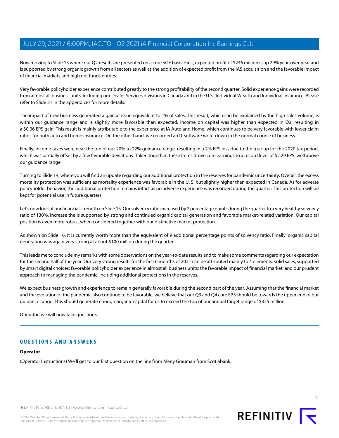Now moving to Slide 13 where our Q2 results are presented on a core SOE basis. First, expected profit of \$246 million is up 29% year-over-year and is supported by strong organic growth from all sectors as well as the addition of expected profit from the IAS acquisition and the favorable impact of financial markets and high net funds entries.

Very favorable policyholder experience contributed greatly to the strong profitability of the second quarter. Solid experience gains were recorded from almost all business units, including our Dealer Services divisions in Canada and in the U.S., Individual Wealth and Individual Insurance. Please refer to Slide 21 in the appendices for more details.

The impact of new business generated a gain at issue equivalent to 1% of sales. This result, which can be explained by the high sales volume, is within our guidance range and is slightly more favorable than expected. Income on capital was higher than expected in Q2, resulting in a \$0.06 EPS gain. This result is mainly attributable to the experience at iA Auto and Home, which continues to be very favorable with lower claim ratios for both auto and home insurance. On the other hand, we recorded an IT software write-down in the normal course of business.

Finally, income taxes were near the top of our 20% to 22% guidance range, resulting in a 2% EPS loss due to the true-up for the 2020 tax period, which was partially offset by a few favorable deviations. Taken together, these items drove core earnings to a record level of \$2.29 EPS, well above our guidance range.

Turning to Slide 14, where you will find an update regarding our additional protection in the reserves for pandemic uncertainty. Overall, the excess mortality protection was sufficient as mortality experience was favorable in the U. S. but slightly higher than expected in Canada. As for adverse policyholder behavior, the additional protection remains intact as no adverse experience was recorded during the quarter. This protection will be kept for potential use in future quarters.

Let's now look at our financial strength on Slide 15. Our solvency ratio increased by 2 percentage points during the quarter to a very healthy solvency ratio of 130%. increase the is supported by strong and continued organic capital generation and favorable market-related variation. Our capital position is even more robust when considered together with our distinctive market protection.

As shown on Slide 16, it is currently worth more than the equivalent of 9 additional percentage points of solvency ratio. Finally, organic capital generation was again very strong at about \$100 million during the quarter.

This leads me to conclude my remarks with some observations on the year-to-date results and to make some comments regarding our expectation for the second half of the year. Our very strong results for the first 6 months of 2021 can be attributed mainly to 4 elements: solid sales, supported by smart digital choices; favorable policyholder experience in almost all business units; the favorable impact of financial market; and our prudent approach to managing the pandemic, including additional protections in the reserves.

We expect business growth and experience to remain generally favorable during the second part of the year. Assuming that the financial market and the evolution of the pandemic also continue to be favorable, we believe that our Q3 and Q4 core EPS should be towards the upper end of our guidance range. This should generate enough organic capital for us to exceed the top of our annual target range of \$325 million.

Operator, we will now take questions.

# **QUESTIONS AND ANSWERS**

#### **Operator**

(Operator Instructions) We'll get to our first question on the line from Meny Grauman from Scotiabank.

REFINITIV STREETEVENTS | [www.refinitiv.com](https://www.refinitiv.com/) | [Contact Us](https://www.refinitiv.com/en/contact-us)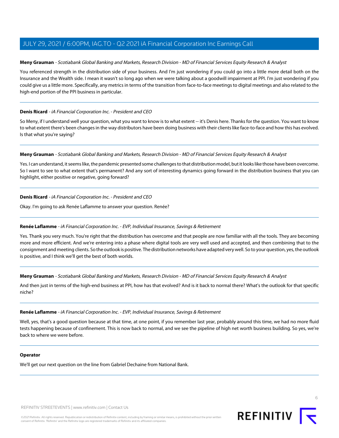### <span id="page-5-1"></span>**Meny Grauman** - Scotiabank Global Banking and Markets, Research Division - MD of Financial Services Equity Research & Analyst

You referenced strength in the distribution side of your business. And I'm just wondering if you could go into a little more detail both on the Insurance and the Wealth side. I mean it wasn't so long ago when we were talking about a goodwill impairment at PPI. I'm just wondering if you could give us a little more. Specifically, any metrics in terms of the transition from face-to-face meetings to digital meetings and also related to the high-end portion of the PPI business in particular.

# **Denis Ricard** - iA Financial Corporation Inc. - President and CEO

So Meny, if I understand well your question, what you want to know is to what extent -- it's Denis here. Thanks for the question. You want to know to what extent there's been changes in the way distributors have been doing business with their clients like face-to-face and how this has evolved. Is that what you're saying?

#### **Meny Grauman** - Scotiabank Global Banking and Markets, Research Division - MD of Financial Services Equity Research & Analyst

Yes. I can understand, it seems like, the pandemic presented some challenges to that distribution model, but it looks like those have been overcome. So I want to see to what extent that's permanent? And any sort of interesting dynamics going forward in the distribution business that you can highlight, either positive or negative, going forward?

# **Denis Ricard** - iA Financial Corporation Inc. - President and CEO

<span id="page-5-0"></span>Okay. I'm going to ask Renée Laflamme to answer your question. Renée?

# **Renée Laflamme** - iA Financial Corporation Inc. - EVP, Individual Insurance, Savings & Retirement

Yes. Thank you very much. You're right that the distribution has overcome and that people are now familiar with all the tools. They are becoming more and more efficient. And we're entering into a phase where digital tools are very well used and accepted, and then combining that to the consignment and meeting clients. So the outlook is positive. The distribution networks have adapted very well. So to your question, yes, the outlook is positive, and I think we'll get the best of both worlds.

**Meny Grauman** - Scotiabank Global Banking and Markets, Research Division - MD of Financial Services Equity Research & Analyst

And then just in terms of the high-end business at PPI, how has that evolved? And is it back to normal there? What's the outlook for that specific niche?

#### **Renée Laflamme** - iA Financial Corporation Inc. - EVP, Individual Insurance, Savings & Retirement

Well, yes, that's a good question because at that time, at one point, if you remember last year, probably around this time, we had no more fluid tests happening because of confinement. This is now back to normal, and we see the pipeline of high net worth business building. So yes, we're back to where we were before.

### **Operator**

We'll get our next question on the line from Gabriel Dechaine from National Bank.

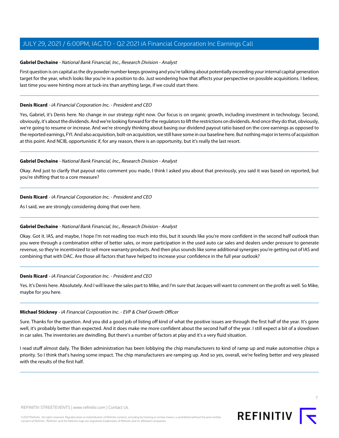#### <span id="page-6-0"></span>**Gabriel Dechaine** - National Bank Financial, Inc., Research Division - Analyst

First question is on capital as the dry powder number keeps growing and you're talking about potentially exceeding your internal capital generation target for the year, which looks like you're in a position to do. Just wondering how that affects your perspective on possible acquisitions. I believe, last time you were hinting more at tuck-ins than anything large, if we could start there.

### **Denis Ricard** - iA Financial Corporation Inc. - President and CEO

Yes, Gabriel, it's Denis here. No change in our strategy right now. Our focus is on organic growth, including investment in technology. Second, obviously, it's about the dividends. And we're looking forward for the regulators to lift the restrictions on dividends. And once they do that, obviously, we're going to resume or increase. And we're strongly thinking about basing our dividend payout ratio based on the core earnings as opposed to the reported earnings, FYI. And also acquisition, bolt-on acquisition, we still have some in our baseline here. But nothing major in terms of acquisition at this point. And NCIB, opportunistic if, for any reason, there is an opportunity, but it's really the last resort.

# **Gabriel Dechaine** - National Bank Financial, Inc., Research Division - Analyst

Okay. And just to clarify that payout ratio comment you made, I think I asked you about that previously, you said it was based on reported, but you're shifting that to a core measure?

# **Denis Ricard** - iA Financial Corporation Inc. - President and CEO

As I said, we are strongly considering doing that over here.

# **Gabriel Dechaine** - National Bank Financial, Inc., Research Division - Analyst

Okay. Got it. IAS, and maybe, I hope I'm not reading too much into this, but it sounds like you're more confident in the second half outlook than you were through a combination either of better sales, or more participation in the used auto car sales and dealers under pressure to generate revenue, so they're incentivized to sell more warranty products. And then plus sounds like some additional synergies you're getting out of IAS and combining that with DAC. Are those all factors that have helped to increase your confidence in the full year outlook?

#### **Denis Ricard** - iA Financial Corporation Inc. - President and CEO

Yes. It's Denis here. Absolutely. And I will leave the sales part to Mike, and I'm sure that Jacques will want to comment on the profit as well. So Mike, maybe for you here.

#### **Michael Stickney** - iA Financial Corporation Inc. - EVP & Chief Growth Officer

Sure. Thanks for the question. And you did a good job of listing off kind of what the positive issues are through the first half of the year. It's gone well, it's probably better than expected. And it does make me more confident about the second half of the year. I still expect a bit of a slowdown in car sales. The inventories are dwindling. But there's a number of factors at play and it's a very fluid situation.

I read stuff almost daily. The Biden administration has been lobbying the chip manufacturers to kind of ramp up and make automotive chips a priority. So I think that's having some impact. The chip manufacturers are ramping up. And so yes, overall, we're feeling better and very pleased with the results of the first half.



7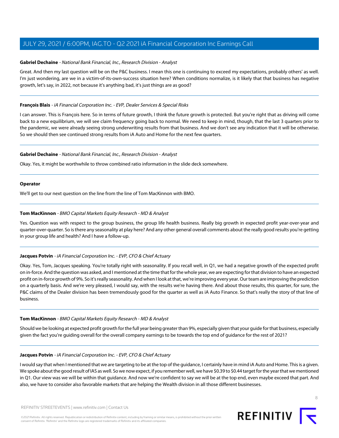#### **Gabriel Dechaine** - National Bank Financial, Inc., Research Division - Analyst

Great. And then my last question will be on the P&C business. I mean this one is continuing to exceed my expectations, probably others' as well. I'm just wondering, are we in a victim-of-its-own-success situation here? When conditions normalize, is it likely that that business has negative growth, let's say, in 2022, not because it's anything bad, it's just things are as good?

#### <span id="page-7-0"></span>**François Blais** - iA Financial Corporation Inc. - EVP, Dealer Services & Special Risks

I can answer. This is François here. So in terms of future growth, I think the future growth is protected. But you're right that as driving will come back to a new equilibrium, we will see claim frequency going back to normal. We need to keep in mind, though, that the last 3 quarters prior to the pandemic, we were already seeing strong underwriting results from that business. And we don't see any indication that it will be otherwise. So we should then see continued strong results from iA Auto and Home for the next few quarters.

#### **Gabriel Dechaine** - National Bank Financial, Inc., Research Division - Analyst

Okay. Yes, it might be worthwhile to throw combined ratio information in the slide deck somewhere.

#### **Operator**

<span id="page-7-1"></span>We'll get to our next question on the line from the line of Tom MacKinnon with BMO.

#### **Tom MacKinnon** - BMO Capital Markets Equity Research - MD & Analyst

Yes. Question was with respect to the group business, the group life health business. Really big growth in expected profit year-over-year and quarter-over-quarter. So is there any seasonality at play here? And any other general overall comments about the really good results you're getting in your group life and health? And I have a follow-up.

#### **Jacques Potvin** - iA Financial Corporation Inc. - EVP, CFO & Chief Actuary

Okay. Yes, Tom, Jacques speaking. You're totally right with seasonality. If you recall well, in Q1, we had a negative growth of the expected profit on in-force. And the question was asked, and I mentioned at the time that for the whole year, we are expecting for that division to have an expected profit on in-force growth of 9%. So it's really seasonality. And when I look at that, we're improving every year. Our team are improving the prediction on a quarterly basis. And we're very pleased, I would say, with the results we're having there. And about those results, this quarter, for sure, the P&C claims of the Dealer division has been tremendously good for the quarter as well as iA Auto Finance. So that's really the story of that line of business.

#### **Tom MacKinnon** - BMO Capital Markets Equity Research - MD & Analyst

Should we be looking at expected profit growth for the full year being greater than 9%, especially given that your guide for that business, especially given the fact you're guiding overall for the overall company earnings to be towards the top end of guidance for the rest of 2021?

#### **Jacques Potvin** - iA Financial Corporation Inc. - EVP, CFO & Chief Actuary

I would say that when I mentioned that we are targeting to be at the top of the guidance, I certainly have in mind iA Auto and Home. This is a given. We spoke about the good result of IAS as well. So we now expect, if you remember well, we have \$0.39 to \$0.44 target for the year that we mentioned in Q1. Our view was we will be within that guidance. And now we're confident to say we will be at the top end, even maybe exceed that part. And also, we have to consider also favorable markets that are helping the Wealth division in all those different businesses.

8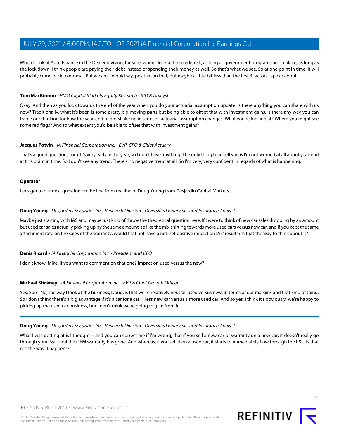When I look at Auto Finance in the Dealer division, for sure, when I look at the credit risk, as long as government programs are in place, as long as the lock down, I think people are paying their debt instead of spending their money as well. So that's what we see. So at one point in time, it will probably come back to normal. But we are, I would say, positive on that, but maybe a little bit less than the first 3 factors I spoke about.

#### **Tom MacKinnon** - BMO Capital Markets Equity Research - MD & Analyst

Okay. And then as you look towards the end of the year when you do your actuarial assumption update, is there anything you can share with us now? Traditionally, what it's been is some pretty big moving parts but being able to offset that with investment gains. Is there any way you can frame our thinking for how the year-end might shake up in terms of actuarial assumption changes. What you're looking at? Where you might see some red flags? And to what extent you'd be able to offset that with investment gains?

#### **Jacques Potvin** - iA Financial Corporation Inc. - EVP, CFO & Chief Actuary

That's a good question, Tom. It's very early in the year, so I don't have anything. The only thing I can tell you is I'm not worried at all about year-end at this point in time. So I don't see any trend. There's no negative trend at all. So I'm very, very confident in regards of what is happening.

#### **Operator**

<span id="page-8-0"></span>Let's get to our next question on the line from the line of Doug Young from Desjardin Capital Markets.

#### **Doug Young** - Desjardins Securities Inc., Research Division - Diversified Financials and Insurance Analyst

Maybe just starting with IAS and maybe just kind of throw the theoretical question here. If I were to think of new car sales dropping by an amount but used car sales actually picking up by the same amount, so like the mix shifting towards more used cars versus new car, and if you kept the same attachment rate on the sales of the warranty, would that not have a net-net positive impact on IAS' results? Is that the way to think about it?

#### **Denis Ricard** - iA Financial Corporation Inc. - President and CEO

I don't know, Mike, if you want to comment on that one? Impact on used versus the new?

#### **Michael Stickney** - iA Financial Corporation Inc. - EVP & Chief Growth Officer

Yes. Sure. No, the way I look at the business, Doug, is that we're relatively neutral, used versus new, in terms of our margins and that kind of thing. So I don't think there's a big advantage if it's a car for a car, 1 less new car versus 1 more used car. And so yes, I think it's obviously, we're happy to picking up the used car business, but I don't think we're going to gain from it.

#### **Doug Young** - Desjardins Securities Inc., Research Division - Diversified Financials and Insurance Analyst

What I was getting at is I thought -- and you can correct me if I'm wrong, that if you sell a new car or warranty on a new car, it doesn't really go through your P&L until the OEM warranty has gone. And whereas, if you sell it on a used car, it starts to immediately flow through the P&L. Is that not the way it happens?

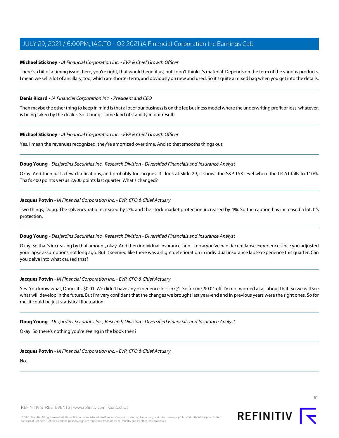### **Michael Stickney** - iA Financial Corporation Inc. - EVP & Chief Growth Officer

There's a bit of a timing issue there, you're right, that would benefit us, but I don't think it's material. Depends on the term of the various products. I mean we sell a lot of ancillary, too, which are shorter term, and obviously on new and used. So it's quite a mixed bag when you get into the details.

#### **Denis Ricard** - iA Financial Corporation Inc. - President and CEO

Then maybe the other thing to keep in mind is that a lot of our business is on the fee business model where the underwriting profit or loss, whatever, is being taken by the dealer. So it brings some kind of stability in our results.

#### **Michael Stickney** - iA Financial Corporation Inc. - EVP & Chief Growth Officer

Yes. I mean the revenues recognized, they're amortized over time. And so that smooths things out.

#### **Doug Young** - Desjardins Securities Inc., Research Division - Diversified Financials and Insurance Analyst

Okay. And then just a few clarifications, and probably for Jacques. If I look at Slide 29, it shows the S&P TSX level where the LICAT falls to 110%. That's 400 points versus 2,900 points last quarter. What's changed?

#### **Jacques Potvin** - iA Financial Corporation Inc. - EVP, CFO & Chief Actuary

Two things, Doug. The solvency ratio increased by 2%, and the stock market protection increased by 4%. So the caution has increased a lot. It's protection.

#### **Doug Young** - Desjardins Securities Inc., Research Division - Diversified Financials and Insurance Analyst

Okay. So that's increasing by that amount, okay. And then individual insurance, and I know you've had decent lapse experience since you adjusted your lapse assumptions not long ago. But it seemed like there was a slight deterioration in individual insurance lapse experience this quarter. Can you delve into what caused that?

#### **Jacques Potvin** - iA Financial Corporation Inc. - EVP, CFO & Chief Actuary

Yes. You know what, Doug, it's \$0.01. We didn't have any experience loss in Q1. So for me, \$0.01 off, I'm not worried at all about that. So we will see what will develop in the future. But I'm very confident that the changes we brought last year-end and in previous years were the right ones. So for me, it could be just statistical fluctuation.

**Doug Young** - Desjardins Securities Inc., Research Division - Diversified Financials and Insurance Analyst

Okay. So there's nothing you're seeing in the book then?

**Jacques Potvin** - iA Financial Corporation Inc. - EVP, CFO & Chief Actuary

No.



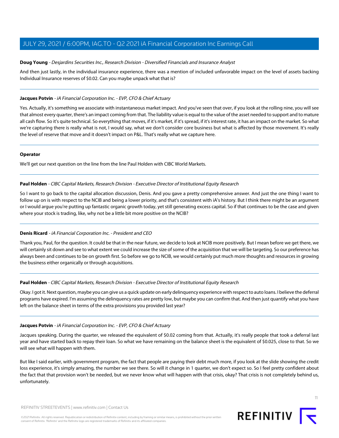#### **Doug Young** - Desjardins Securities Inc., Research Division - Diversified Financials and Insurance Analyst

And then just lastly, in the individual insurance experience, there was a mention of included unfavorable impact on the level of assets backing Individual Insurance reserves of \$0.02. Can you maybe unpack what that is?

### **Jacques Potvin** - iA Financial Corporation Inc. - EVP, CFO & Chief Actuary

Yes. Actually, it's something we associate with instantaneous market impact. And you've seen that over, if you look at the rolling nine, you will see that almost every quarter, there's an impact coming from that. The liability value is equal to the value of the asset needed to support and to mature all cash flow. So it's quite technical. So everything that moves, if it's market, if it's spread, if it's interest rate, it has an impact on the market. So what we're capturing there is really what is not, I would say, what we don't consider core business but what is affected by those movement. It's really the level of reserve that move and it doesn't impact on P&L. That's really what we capture here.

# **Operator**

<span id="page-10-0"></span>We'll get our next question on the line from the line Paul Holden with CIBC World Markets.

#### **Paul Holden** - CIBC Capital Markets, Research Division - Executive Director of Institutional Equity Research

So I want to go back to the capital allocation discussion, Denis. And you gave a pretty comprehensive answer. And just the one thing I want to follow up on is with respect to the NCIB and being a lower priority, and that's consistent with iA's history. But I think there might be an argument or I would argue you're putting up fantastic organic growth today, yet still generating excess capital. So if that continues to be the case and given where your stock is trading, like, why not be a little bit more positive on the NCIB?

# **Denis Ricard** - iA Financial Corporation Inc. - President and CEO

Thank you, Paul, for the question. It could be that in the near future, we decide to look at NCIB more positively. But I mean before we get there, we will certainly sit down and see to what extent we could increase the size of some of the acquisition that we will be targeting. So our preference has always been and continues to be on growth first. So before we go to NCIB, we would certainly put much more thoughts and resources in growing the business either organically or through acquisitions.

#### **Paul Holden** - CIBC Capital Markets, Research Division - Executive Director of Institutional Equity Research

Okay. I got it. Next question, maybe you can give us a quick update on early delinquency experience with respect to auto loans. I believe the deferral programs have expired. I'm assuming the delinquency rates are pretty low, but maybe you can confirm that. And then just quantify what you have left on the balance sheet in terms of the extra provisions you provided last year?

#### **Jacques Potvin** - iA Financial Corporation Inc. - EVP, CFO & Chief Actuary

Jacques speaking. During the quarter, we released the equivalent of \$0.02 coming from that. Actually, it's really people that took a deferral last year and have started back to repay their loan. So what we have remaining on the balance sheet is the equivalent of \$0.025, close to that. So we will see what will happen with them.

But like I said earlier, with government program, the fact that people are paying their debt much more, if you look at the slide showing the credit loss experience, it's simply amazing, the number we see there. So will it change in 1 quarter, we don't expect so. So I feel pretty confident about the fact that that provision won't be needed, but we never know what will happen with that crisis, okay? That crisis is not completely behind us, unfortunately.

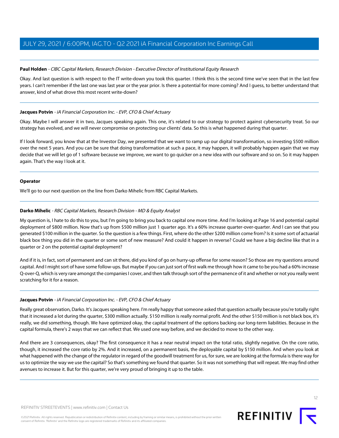### **Paul Holden** - CIBC Capital Markets, Research Division - Executive Director of Institutional Equity Research

Okay. And last question is with respect to the IT write-down you took this quarter. I think this is the second time we've seen that in the last few years. I can't remember if the last one was last year or the year prior. Is there a potential for more coming? And I guess, to better understand that answer, kind of what drove this most recent write-down?

### **Jacques Potvin** - iA Financial Corporation Inc. - EVP, CFO & Chief Actuary

Okay. Maybe I will answer it in two, Jacques speaking again. This one, it's related to our strategy to protect against cybersecurity treat. So our strategy has evolved, and we will never compromise on protecting our clients' data. So this is what happened during that quarter.

If I look forward, you know that at the Investor Day, we presented that we want to ramp up our digital transformation, so investing \$500 million over the next 5 years. And you can be sure that doing transformation at such a pace, it may happen, it will probably happen again that we may decide that we will let go of 1 software because we improve, we want to go quicker on a new idea with our software and so on. So it may happen again. That's the way I look at it.

# **Operator**

<span id="page-11-0"></span>We'll go to our next question on the line from Darko Mihelic from RBC Capital Markets.

# **Darko Mihelic** - RBC Capital Markets, Research Division - MD & Equity Analyst

My question is, I hate to do this to you, but I'm going to bring you back to capital one more time. And I'm looking at Page 16 and potential capital deployment of \$800 million. Now that's up from \$500 million just 1 quarter ago. It's a 60% increase quarter-over-quarter. And I can see that you generated \$100 million in the quarter. So the question is a few things. First, where do the other \$200 million come from? Is it some sort of actuarial black box thing you did in the quarter or some sort of new measure? And could it happen in reverse? Could we have a big decline like that in a quarter or 2 on the potential capital deployment?

And if it is, in fact, sort of permanent and can sit there, did you kind of go on hurry-up offense for some reason? So those are my questions around capital. And I might sort of have some follow-ups. But maybe if you can just sort of first walk me through how it came to be you had a 60% increase Q-over-Q, which is very rare amongst the companies I cover, and then talk through sort of the permanence of it and whether or not you really went scratching for it for a reason.

# **Jacques Potvin** - iA Financial Corporation Inc. - EVP, CFO & Chief Actuary

Really great observation, Darko. It's Jacques speaking here. I'm really happy that someone asked that question actually because you're totally right that it increased a lot during the quarter, \$300 million actually. \$150 million is really normal profit. And the other \$150 million is not black box, it's really, we did something, though. We have optimized okay, the capital treatment of the options backing our long-term liabilities. Because in the capital formula, there's 2 ways that we can reflect that. We used one way before, and we decided to move to the other way.

And there are 3 consequences, okay? The first consequence it has a near neutral impact on the total ratio, slightly negative. On the core ratio, though, it increased the core ratio by 2%. And it increased, on a permanent basis, the deployable capital by \$150 million. And when you look at what happened with the change of the regulator in regard of the goodwill treatment for us, for sure, we are looking at the formula is there way for us to optimize the way we use the capital? So that's something we found that quarter. So it was not something that will repeat. We may find other avenues to increase it. But for this quarter, we're very proud of bringing it up to the table.

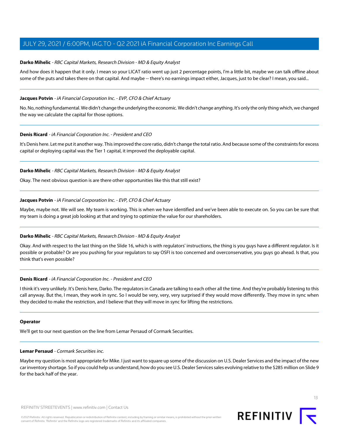### **Darko Mihelic** - RBC Capital Markets, Research Division - MD & Equity Analyst

And how does it happen that it only. I mean so your LICAT ratio went up just 2 percentage points, I'm a little bit, maybe we can talk offline about some of the puts and takes there on that capital. And maybe -- there's no earnings impact either, Jacques, just to be clear? I mean, you said...

# **Jacques Potvin** - iA Financial Corporation Inc. - EVP, CFO & Chief Actuary

No. No, nothing fundamental. We didn't change the underlying the economic. We didn't change anything. It's only the only thing which, we changed the way we calculate the capital for those options.

#### **Denis Ricard** - iA Financial Corporation Inc. - President and CEO

It's Denis here. Let me put it another way. This improved the core ratio, didn't change the total ratio. And because some of the constraints for excess capital or deploying capital was the Tier 1 capital, it improved the deployable capital.

# **Darko Mihelic** - RBC Capital Markets, Research Division - MD & Equity Analyst

Okay. The next obvious question is are there other opportunities like this that still exist?

#### **Jacques Potvin** - iA Financial Corporation Inc. - EVP, CFO & Chief Actuary

Maybe, maybe not. We will see. My team is working. This is when we have identified and we've been able to execute on. So you can be sure that my team is doing a great job looking at that and trying to optimize the value for our shareholders.

#### **Darko Mihelic** - RBC Capital Markets, Research Division - MD & Equity Analyst

Okay. And with respect to the last thing on the Slide 16, which is with regulators' instructions, the thing is you guys have a different regulator. Is it possible or probable? Or are you pushing for your regulators to say OSFI is too concerned and overconservative, you guys go ahead. Is that, you think that's even possible?

#### **Denis Ricard** - iA Financial Corporation Inc. - President and CEO

I think it's very unlikely. It's Denis here, Darko. The regulators in Canada are talking to each other all the time. And they're probably listening to this call anyway. But the, I mean, they work in sync. So I would be very, very, very surprised if they would move differently. They move in sync when they decided to make the restriction, and I believe that they will move in sync for lifting the restrictions.

#### <span id="page-12-0"></span>**Operator**

We'll get to our next question on the line from Lemar Persaud of Cormark Securities.

#### **Lemar Persaud** - Cormark Securities inc.

Maybe my question is most appropriate for Mike. I just want to square up some of the discussion on U.S. Dealer Services and the impact of the new car inventory shortage. So if you could help us understand, how do you see U.S. Dealer Services sales evolving relative to the \$285 million on Slide 9 for the back half of the year.

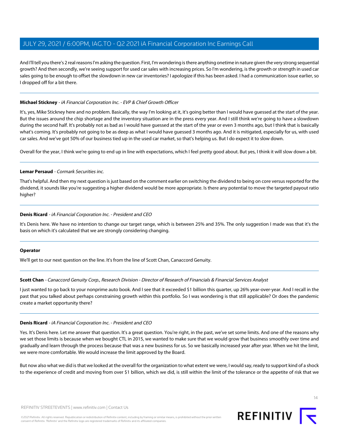And I'll tell you there's 2 real reasons I'm asking the question. First, I'm wondering is there anything onetime in nature given the very strong sequential growth? And then secondly, we're seeing support for used car sales with increasing prices. So I'm wondering, is the growth or strength in used car sales going to be enough to offset the slowdown in new car inventories? I apologize if this has been asked. I had a communication issue earlier, so I dropped off for a bit there.

# **Michael Stickney** - iA Financial Corporation Inc. - EVP & Chief Growth Officer

It's, yes, Mike Stickney here and no problem. Basically, the way I'm looking at it, it's going better than I would have guessed at the start of the year. But the issues around the chip shortage and the inventory situation are in the press every year. And I still think we're going to have a slowdown during the second half. It's probably not as bad as I would have guessed at the start of the year or even 3 months ago, but I think that is basically what's coming. It's probably not going to be as deep as what I would have guessed 3 months ago. And it is mitigated, especially for us, with used car sales. And we've got 50% of our business tied up in the used car market, so that's helping us. But I do expect it to slow down.

Overall for the year, I think we're going to end up in line with expectations, which I feel pretty good about. But yes, I think it will slow down a bit.

# **Lemar Persaud** - Cormark Securities inc.

That's helpful. And then my next question is just based on the comment earlier on switching the dividend to being on core versus reported for the dividend, it sounds like you're suggesting a higher dividend would be more appropriate. Is there any potential to move the targeted payout ratio higher?

#### **Denis Ricard** - iA Financial Corporation Inc. - President and CEO

It's Denis here. We have no intention to change our target range, which is between 25% and 35%. The only suggestion I made was that it's the basis on which it's calculated that we are strongly considering changing.

#### <span id="page-13-0"></span>**Operator**

We'll get to our next question on the line. It's from the line of Scott Chan, Canaccord Genuity.

#### **Scott Chan** - Canaccord Genuity Corp., Research Division - Director of Research of Financials & Financial Services Analyst

I just wanted to go back to your nonprime auto book. And I see that it exceeded \$1 billion this quarter, up 26% year-over-year. And I recall in the past that you talked about perhaps constraining growth within this portfolio. So I was wondering is that still applicable? Or does the pandemic create a market opportunity there?

#### **Denis Ricard** - iA Financial Corporation Inc. - President and CEO

Yes. It's Denis here. Let me answer that question. It's a great question. You're right, in the past, we've set some limits. And one of the reasons why we set those limits is because when we bought CTL in 2015, we wanted to make sure that we would grow that business smoothly over time and gradually and learn through the process because that was a new business for us. So we basically increased year after year. When we hit the limit, we were more comfortable. We would increase the limit approved by the Board.

But now also what we did is that we looked at the overall for the organization to what extent we were, I would say, ready to support kind of a shock to the experience of credit and moving from over \$1 billion, which we did, is still within the limit of the tolerance or the appetite of risk that we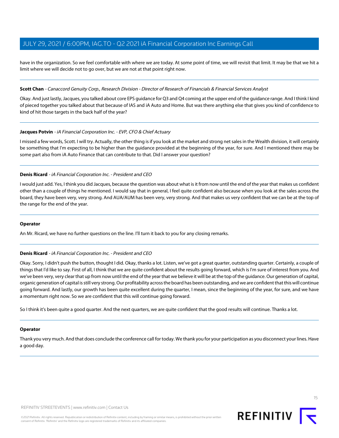have in the organization. So we feel comfortable with where we are today. At some point of time, we will revisit that limit. It may be that we hit a limit where we will decide not to go over, but we are not at that point right now.

#### **Scott Chan** - Canaccord Genuity Corp., Research Division - Director of Research of Financials & Financial Services Analyst

Okay. And just lastly, Jacques, you talked about core EPS guidance for Q3 and Q4 coming at the upper end of the guidance range. And I think I kind of pieced together you talked about that because of IAS and iA Auto and Home. But was there anything else that gives you kind of confidence to kind of hit those targets in the back half of the year?

#### **Jacques Potvin** - iA Financial Corporation Inc. - EVP, CFO & Chief Actuary

I missed a few words, Scott. I will try. Actually, the other thing is if you look at the market and strong net sales in the Wealth division, it will certainly be something that I'm expecting to be higher than the guidance provided at the beginning of the year, for sure. And I mentioned there may be some part also from iA Auto Finance that can contribute to that. Did I answer your question?

#### **Denis Ricard** - iA Financial Corporation Inc. - President and CEO

I would just add. Yes, I think you did Jacques, because the question was about what is it from now until the end of the year that makes us confident other than a couple of things he mentioned. I would say that in general, I feel quite confident also because when you look at the sales across the board, they have been very, very strong. And AUA/AUM has been very, very strong. And that makes us very confident that we can be at the top of the range for the end of the year.

#### **Operator**

An Mr. Ricard, we have no further questions on the line. I'll turn it back to you for any closing remarks.

#### **Denis Ricard** - iA Financial Corporation Inc. - President and CEO

Okay. Sorry, I didn't push the button, thought I did. Okay, thanks a lot. Listen, we've got a great quarter, outstanding quarter. Certainly, a couple of things that I'd like to say. First of all, I think that we are quite confident about the results going forward, which is I'm sure of interest from you. And we've been very, very clear that up from now until the end of the year that we believe it will be at the top of the guidance. Our generation of capital, organic generation of capital is still very strong. Our profitability across the board has been outstanding, and we are confident that this will continue going forward. And lastly, our growth has been quite excellent during the quarter, I mean, since the beginning of the year, for sure, and we have a momentum right now. So we are confident that this will continue going forward.

So I think it's been quite a good quarter. And the next quarters, we are quite confident that the good results will continue. Thanks a lot.

#### **Operator**

Thank you very much. And that does conclude the conference call for today. We thank you for your participation as you disconnect your lines. Have a good day.

15